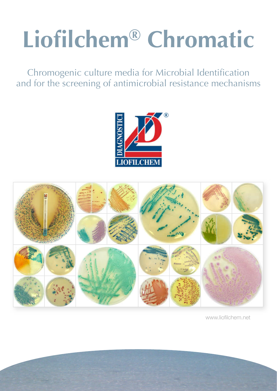# **Liofilchem® Chromatic**

Chromogenic culture media for Microbial Identification and for the screening of antimicrobial resistance mechanisms





www.liofilchem.net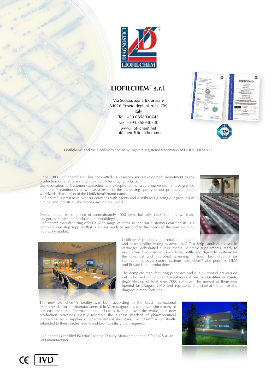

### **LIOFILCHEM® s.r.l.**

Via Scozia, Zona Industriale 64026 Roseto degli Abruzzi (Te) Italy Tel.: +39 0858930745 Fax: +39 0858930330 [www.liofilchem.net](http://www.liofilchem.net) [liofilchem@liofilchem.net](mailto:liofilchem@liofilchem.net)



Liofilchem® and the Liofilchem company logo are registered trademarks of LIOFILCHEM s.r.l.

Since 1983 Liofilchem® s.r.l. has committed its Research and Development department to the production of reliable and high quality bacteriology products.

Our dedication to Customer satisfaction and exceptional manufacturing versatility have granted Liofilchem® continuous growth, as a result of the increasing quality of our products and the worldwide distribution of the Liofilchem® brand name.

Liofilchem® is present in over 80 countries with agents and distributors placing our products in clinical and industrial laboratories around the world.

Our catalogue is comprised of approximately 4000 items basically classified into two main categories, clinical and industrial microbiology.

Liofilchem® manufacturing offers a wide range of items so that our customers can find in us a complete one stop supplier that is always ready to respond to the needs of the ever evolving laboratory market.



and susceptibility testing systems, MIC Test Strip, antibiotic discs in cartridges, dehydrated culture media, selective supplements, ready to use culture media in petri dish, tube, bottle and dip-slide, systems for the chemical and microbial screening in food, bio-indicators for sterilization process control systems. Liofilchem® also performs OEM and Private Label productions.

The complete manufacturing processes and quality control are carried out in house by Liofilchem<sup>®</sup> employees at our two facilities in Roseto degli Abruzzi of total over  $7000 \text{ m}^2$  area. The newest of them was opened last August 2010 and represents the state-of-the-art for the diagnostic manufacturing.

The new Liofilchem<sup>®'s</sup> facility was built according to the latest international recommendations for manufacturers of In-Vitro diagnostics. Moreover, since many of our customers are Pharmaceutical Industries from all over the world, our new production processes closely resemble the highest standard of pharmaceutical companies. As a supplier of pharmaceutical industries, Liofilchem® is constantly subjected to their strictest audits and keen to satisfy their requests.

Liofilchem® is certified ISO 9001 for the Quality Management and ISO 13425 as an IVD manufacturer.





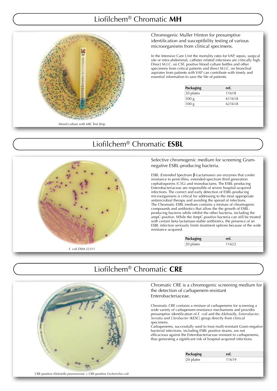## Liofilchem® Chromatic **MH**



### Chromogenic Muller Hinton for presumptive identification and susceptibility testing of various microorganisms from clinical specimens.

In the Intensive Care Unit the mortality rates for VAP, sepsis, surgical site or intra-abdominal, catheter related infections are critically high. site or intra-abdominal, catheter related infections are criticall<br>Direct M.I.C. on CSF, positive blood culture bottles and other Direct M.I.C. on CSF, positive blood culture bottles and other<br>specimens from critical patients and direct M.I.C. on bronchial aspirates from patients with VAP can contribute with timely and aspirates from patients with VAP can contribute<br>essential information to save the life of patients.

| Packaging        | ref.   |
|------------------|--------|
| 20 plates        | 11618  |
| 500 g            | 611618 |
| 100 <sub>g</sub> | 621618 |

### Liofilchem® Chromatic **ESBL**



Selective chromogenic medium for screening Gr Gram- Selective chromogenic medium for<br>negative ESBL-producing bacteria.

ESBL (Extended Spectrum β-Lactamases) are enzymes that confer resistance to penicillins, extended-spectrum third generation cephalosporins (C3G) and monobactams. The ESBL-producing Enterobacteriaceae are responsible of severe hospital-acquired infections. The correct and early detection of ESBL-producing microorganisms is critical for addressing to the most appropriate antimicrobial therapy and avoiding the spread of infections. The Chromatic ESBL medium contains a mixture of chromogenic The Chromatic ESBL medium contains a mixture of chromoge<br>compounds and antibiotics that allow the the growth of ESBLproducing bacteria while inhibit the other bacteria, including the producing bacteria while inhibit the other bacteria, including the<br>ampC-positive. While the AmpC-positive bacteria can still be treated with certain beta-lactamase-stable antibiotics, the presence of an ESBL infection seriously limits treatment options because of the wide resistance acquired. he correct and early detection of ESBL-producir<br>isms is critical for addressing to the most approp<br>al therapy and avoiding the spread of infections. onobactams. The ESBL-producing<br>msible of severe hospital-acquired<br>arly detection of ESBL-producing<br>r addressing to the most appropriate<br>oiding the spread of infections.<br>n contains a mixture of chromogenic

| Packaging           |       |  |
|---------------------|-------|--|
| plates<br>12C<br>∠∪ | 11699 |  |
|                     |       |  |

## Liofilchem® Chromatic **CRE**

Chromatic CRE is a chromogenic screening medium for the detection of carbapenem-resistant Enterobacteriaceae.

Chromatic CRE contains a mixture of carbapenems for screening a wide variety of carbapenem-resistance mechanisms and provides presumptive identification of *E. coli* and the *Klebsiella, Enterobacter, Serratia* and *Citrobacter* (KESC) group directly from clinical specimens. tic CRE is a chromogenic screening medium for<br>ction of carbapenem-resistant<br>acteriaceae.<br>cCRE contains a mixture of carbapenems for screening a<br>ty of carbapenem-resistance mechanisms and provides<br>we identification of *E*.

Carbapenems, successfully used to treat multi-resistant Gr Gram-negative bacterial infections, including ESBL positive strains, are not efficacious against the Enterobacteriaceae resistant to carbapenems, thus generating a significant risk of hospital-acquired infections.

| Packaging | ret.  |  |
|-----------|-------|--|
| 20 plates | 11619 |  |



CRE-positive *Klebsiella pneumoniae* + CRE-positive *Escherichia coli*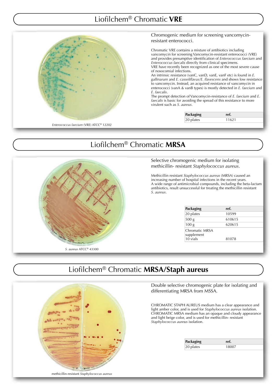## Liofilchem® Chromatic **VRE**



#### Chromogenic medium for screening vancomycinresistant enterococci.

Chromatic VRE contains a mixture of antibiotics including vancomycin for screening Vancomycin-resistant enterococci (VRE) vancomycin for screening Vancomycin-resistant enterococci (VRE)<br>and provides presumptive identification of *Enterococcus faecium* and *Enterococcus faecalis*  directly from clinical specimens. of nosocomial infections.

VRE have recently been recognized as one of the most severe cause<br>of nosocomial infections.<br>An intrinsic resistance (vanC, vanD, vanE, vanF etc) is found in *E*. An intrinsic resistance (vanC, vanD, vanE, vanF etc) is found in *E*. *gallinarum* and *E. casselifla casseliflavus/E. flavescens* and sho shows low resistance to vancomycin. Instead, an acquired resistance of vancomycin in to vancomycin. Instead, an acquired resistance of vancomycin in<br>enterococci (vanA & vanB types) is mostly detected in *E. faecium* and *E. faecalis*.

The prompt detection of Vancomycin-resistance of *E. faecium* and *E. faecalis* is basic for avoiding the spread of this resistance to more virulent such as *S. aureus* .

> Packaging ref. 20 plates 11621

## Liofilchem® Chromatic **MRSA**



### Selective chromogenic medium for isolating methicillin- resistant *Staphylococcus aureus*

Methicillin resistant *Staphylococcus aureus* (MRSA) caused an increasing number of hospital infections in the recent y A wide range of antimicrobial compounds, including the beta-lactam antibiotics, result unsuccessful for treating the methicillin resistant *S. aureus*. illin- resistant *Staphylococcus aureus*.<br>lin resistant *Staphylococcus aureus* (MRSA) cau<br>ng number of hospital infections in the recent y<br>ange of antimicrobial compounds, including th years.

| Packaging                    | ref.   |  |
|------------------------------|--------|--|
| 20 plates                    | 10599  |  |
| 500 <sub>g</sub>             | 610615 |  |
| 100 <sub>g</sub>             | 620615 |  |
| Chromatic MRSA<br>supplement |        |  |
| $10$ vials                   | 81078  |  |

## Liofilchem® Chromatic **MRSA/Staph aureus**

**College** methicillin-resistant *Staphylococcus aureus*

Double selective chromogenic plate for isolating and differentiating MRSA from MSSA.

CHROMATIC STAPH AUREUS medium has a clear appearance and light amber color, and is used for *Staphylococcus aureus* isolation. CHROMATIC MRSA medium has an opaque and cloudy appearance and light beige color, and is used for methicillin- resistant , Staphylococcus aureus *isolation*.

| Packaging    |
|--------------|
| $ 20$ plates |

18007

ref.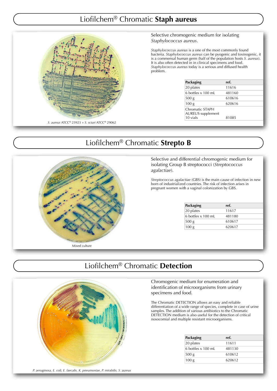## Liofilchem® Chromatic **Staph aureus**



Selective chromogenic medium for isolating *Staphylococcus aureus.* 

*Staphylococcus aureus* is a one of the most commonly found bacteria. *Staphylococcus aureus* can be pyogenic and toxinogenic, it is a commensal human germ (half of the population hosts *S. aureus*). It is also often detected in in clinical specimens and food. *Staphylococcus aureus* today is a serious and diffused health problem.

| Packaging                                   | ref.   |  |
|---------------------------------------------|--------|--|
| 20 plates                                   | 11616  |  |
| 6 bottles x 100 mL                          | 481160 |  |
| 500 <sub>g</sub>                            | 610616 |  |
| 100 <sub>g</sub>                            | 620616 |  |
| Chromatic STAPH<br><b>AUREUS</b> supplement |        |  |
| 10 vials                                    | 81085  |  |

## Liofilchem® Chromatic **Strepto B**



Selective and differential chromogenic medium for isolating Group B streptococci ( *Streptococcus agalactiae*).

*Streptococcus agalactiae* (GBS) is the main cause of infection in new born of industrialized countries. The risk of infection arises in born of industrialized countries. The risk of infection a<br>pregnant women with a vaginal colonization by GBS.

| Packaging          | ref.   |
|--------------------|--------|
| 20 plates          | 11617  |
| 6 bottles x 100 mL | 481180 |
| 500 g              | 610617 |
| 100 <sub>g</sub>   | 620617 |

## Liofilchem® Chromatic **Detection**



### Chromogenic medium for enumeration and identification of microorganisms from urinary specimens and food.

The Chromatic DETECTION allows an easy and reliable differentiation of a wide range of species, complete in case of urine samples. The addition of various antibiotics to the Chromatic DETECTION medium is also useful for the detection of critical nosocomial and multiple resistant microorganisms. DN allows<br>ange of sp<br>various ant

| Packaging          | ref.   |
|--------------------|--------|
| 20 plates          | 11611  |
| 6 bottles x 100 mL | 481130 |
| 500 g              | 610612 |
| 100 <sub>g</sub>   | 620612 |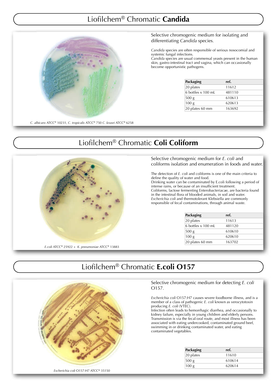## Liofilchem® Chromatic **Candida**



Selective chromogenic medium for isolating and Selective chromogenic medium<br>differentiating *Candida* species.

*Candida* species are often responsible of serious nosocomial and systemic fungal infections.

Candida species are usual commensal yeasts present in the human Candida species are usual commensal yeasts present in the hur<br>skin, gastro-intestinal tract and vagina, which can occasionally become opportunistic pathogens.

| Packaging          | ref.   |  |
|--------------------|--------|--|
| 20 plates          | 11612  |  |
| 6 bottles x 100 mL | 481110 |  |
| 500 g              | 610613 |  |
| 100 <sub>g</sub>   | 620613 |  |
| 20 plates 60 mm    | 163692 |  |

## Liofilchem® Chromatic **Coli Coliform**



Selective chromogenic medium for *E. coli* and coliforms isolation and enumeration in foods and water.

The detection of *E*. *coli* and coliforms is one of the main criteria to define the quality of water and food. Drinking water can be contaminated by E.coli following a period of intense rains, or because of an insufficient treatment. Coliforms, lactose fermenting Enterobacteriacae, are bacteria found in the intestinal flora of blooded animals, in soil and w water. *Escherichia coli* and thermotoler Escherichia coli and thermotolerant Klebsiella are common<br>responsible of fecal contaminations, through animal waste. ains, or because of an insufficient treatment.<br>is, lactose fermenting Enterobacteriacae, are bacteria<br>testinal flora of blooded animals, in soil and water.<br>*hia coli* and thermotolerant Klebsiella are commonly

| Packaging          | ref.   |
|--------------------|--------|
| 20 plates          | 11613  |
| 6 bottles x 100 mL | 481120 |
| 500 g              | 610610 |
| 100 <sub>g</sub>   | 620610 |
| 20 plates 60 mm    | 163702 |

## Liofilchem® Chromatic **E.coli O157**

Selective chromogenic medium for detecting O157*.*

*Escherichia coli* O157:H7 causes severe foodborne illness, and is a *Escherichia coli* O157:H7 causes severe foodborne illness, and i<br>member of a class of pathogenic *E. coli* known as verocytotoxin producing *E. coli* (VTEC).

Infection often leads to hemorrhagic diarrhea, and occasionally to kidney failure, especially in young children and elderly persons. Transmission is via the fecal-or ansmission fecal-oral route, and most illness has been associated with eating undercooked, contaminated ground beef, kidney failure, especially in young children and elderly p<br>Transmission is via the fecal-oral route, and most illness ł<br>associated with eating undercooked, contaminated groun<br>swimming in or drinking contaminated water, and contaminated vegetables. romogenic medium for detecting *E. coli*<br>
CO157:H7 causes severe foodborne illness, and i<br>
ass of pathogenic *E. coli* known as verocytotoxin<br> *li* (VTEC).<br>
leads to hemorrhagic diarrhea, and occasionally<br>
sepecially in yo

| Packaging        | ref.   |  |
|------------------|--------|--|
| 20 plates        | 11610  |  |
| 500 g            | 610614 |  |
| 100 <sub>g</sub> | 620614 |  |

*Escherichia coli* O157:H7 ATCC® 35150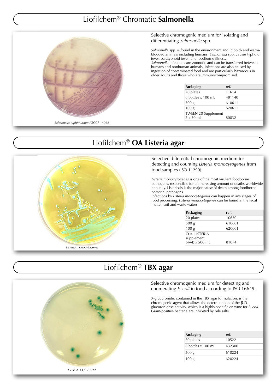## Liofilchem® Chromatic **Salmonella**



Selective chromogenic medium for isolating and Selective chromogenic mediui<br>differentiating *Salmonella* spp.

Salmonella spp. is found in the environment and in cold- and warmblooded animals including humans. *Salmonella* spp. causes typhoid fever, paratyphoid fever, and foodborne illness. fever, paratyphoid fever, and foodborne illness.<br>*Salmonella* infections are zoonotic and can be transferred between

humans and nonhuman animals. Infections are also caused b by ingestion of contaminated food and are particularly hazardous in older adults and those who are immunocompromised.

| Packaging                  | ref.   |
|----------------------------|--------|
| 20 plates                  | 11614  |
| 6 bottles x 100 mL         | 481140 |
| 500 <sub>g</sub>           | 610611 |
| 100 <sub>g</sub>           | 620611 |
| <b>TWEEN 20 Supplement</b> |        |
| $2 \times 50$ ml.          | 80032  |

## Liofilchem® **OA Listeria agar**



Selective differential chromogenic medium for detecting and counting *Listeria monoc monocytogenes* from food samples (ISO 11290) .

Listeria monocytogenes is one of the most virulent foodborne pathogens, responsible for an increasing amount of deaths w worldwide annually. Listeriosis is the major cause of death among foodborne . bacterial pathogens.

Infections by Listeria monocytogenes can happen in any stages of food processing. *Listeria monoc monocytogenes* can be found in the fecal matter, soil and waste w aste waters.

| Packaging                  | ref.   |  |
|----------------------------|--------|--|
| 20 plates                  | 10620  |  |
| 500 <sub>g</sub>           | 610601 |  |
| 100 <sub>g</sub>           | 620601 |  |
| O A LISTERIA<br>supplement |        |  |
| $(4+4) \times 500$ mL      | 81074  |  |

## Liofilchem® **TBX agar**



### Selective chromogenic medium for detecting and Selective chromogenic medium for detecting and<br>enumerating *E. coli* in food according to ISO 16649.

X-glucuronide, contained in the TBX agar formulation, is the chromogenic agent that allows the determination of the  $β$ -Dglucuronidase activity, which is a highly specific enzyme for *E. coli.* Gram-positive bacteria are inhibited by bile salts.

| Packaging                 | ref.   |  |
|---------------------------|--------|--|
| 20 plates                 | 10522  |  |
| 6 bottles $\times$ 100 mL | 432300 |  |
| 500 g                     | 610224 |  |
| 100 g                     | 620224 |  |

*E.coli* ATCC® 25922